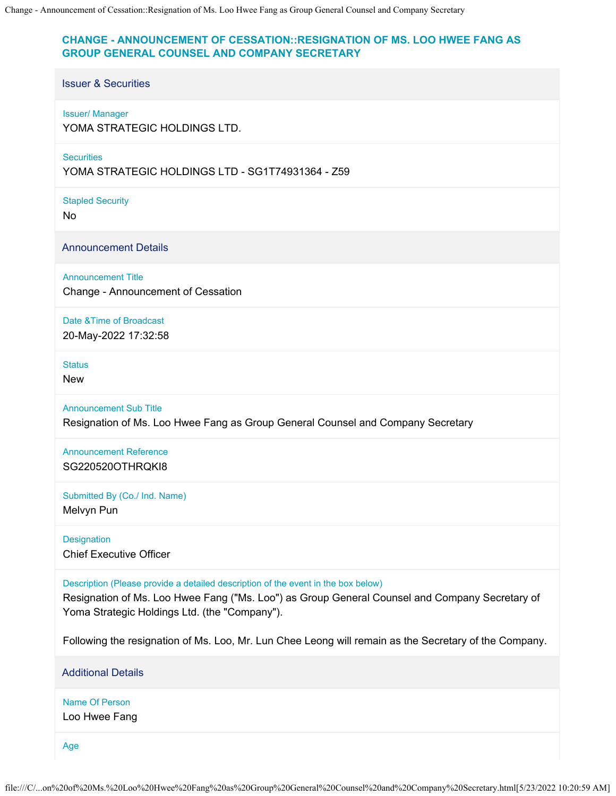## **CHANGE - ANNOUNCEMENT OF CESSATION::RESIGNATION OF MS. LOO HWEE FANG AS GROUP GENERAL COUNSEL AND COMPANY SECRETARY**

## Issuer & Securities

## Issuer/ Manager

YOMA STRATEGIC HOLDINGS LTD.

**Securities** 

YOMA STRATEGIC HOLDINGS LTD - SG1T74931364 - Z59

Stapled Security

No

Announcement Details

Announcement Title

Change - Announcement of Cessation

Date &Time of Broadcast

20-May-2022 17:32:58

**Status** 

New

Announcement Sub Title

Resignation of Ms. Loo Hwee Fang as Group General Counsel and Company Secretary

Announcement Reference SG220520OTHRQKI8

Submitted By (Co./ Ind. Name)

Melvyn Pun

**Designation** Chief Executive Officer

Description (Please provide a detailed description of the event in the box below)

Resignation of Ms. Loo Hwee Fang ("Ms. Loo") as Group General Counsel and Company Secretary of Yoma Strategic Holdings Ltd. (the "Company").

Following the resignation of Ms. Loo, Mr. Lun Chee Leong will remain as the Secretary of the Company.

Additional Details

Name Of Person Loo Hwee Fang

Age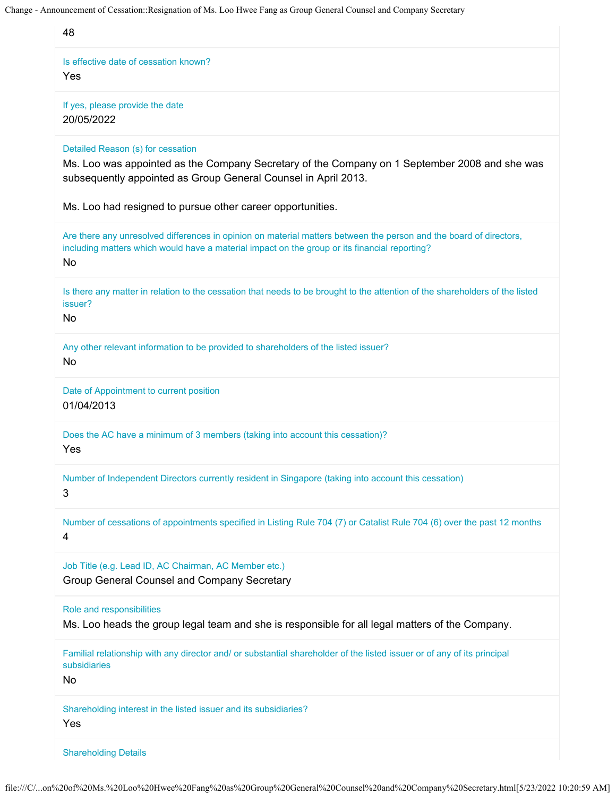| 48                                                                                                                                                                                                                               |
|----------------------------------------------------------------------------------------------------------------------------------------------------------------------------------------------------------------------------------|
| Is effective date of cessation known?<br>Yes                                                                                                                                                                                     |
| If yes, please provide the date<br>20/05/2022                                                                                                                                                                                    |
| Detailed Reason (s) for cessation<br>Ms. Loo was appointed as the Company Secretary of the Company on 1 September 2008 and she was<br>subsequently appointed as Group General Counsel in April 2013.                             |
| Ms. Loo had resigned to pursue other career opportunities.                                                                                                                                                                       |
| Are there any unresolved differences in opinion on material matters between the person and the board of directors,<br>including matters which would have a material impact on the group or its financial reporting?<br><b>No</b> |
| Is there any matter in relation to the cessation that needs to be brought to the attention of the shareholders of the listed<br>issuer?<br><b>No</b>                                                                             |
| Any other relevant information to be provided to shareholders of the listed issuer?<br><b>No</b>                                                                                                                                 |
| Date of Appointment to current position<br>01/04/2013                                                                                                                                                                            |
| Does the AC have a minimum of 3 members (taking into account this cessation)?<br>Yes                                                                                                                                             |
| Number of Independent Directors currently resident in Singapore (taking into account this cessation)<br>3                                                                                                                        |
| Number of cessations of appointments specified in Listing Rule 704 (7) or Catalist Rule 704 (6) over the past 12 months<br>4                                                                                                     |
| Job Title (e.g. Lead ID, AC Chairman, AC Member etc.)<br>Group General Counsel and Company Secretary                                                                                                                             |
| Role and responsibilities<br>Ms. Loo heads the group legal team and she is responsible for all legal matters of the Company.                                                                                                     |
| Familial relationship with any director and/ or substantial shareholder of the listed issuer or of any of its principal<br>subsidiaries<br>No                                                                                    |
| Shareholding interest in the listed issuer and its subsidiaries?<br>Yes                                                                                                                                                          |
| <b>Shareholding Details</b>                                                                                                                                                                                                      |